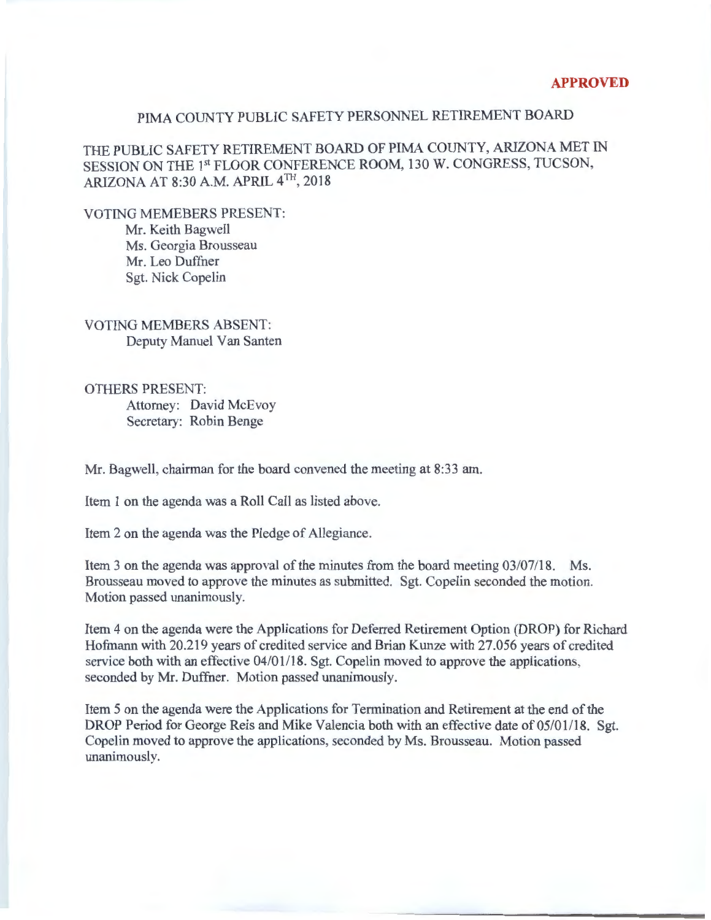## PIMA COUNTY PUBLIC SAFETY PERSONNEL RETIREMENT BOARD

THE PUBLIC SAFETY RETIREMENT BOARD OF PIMA COUNTY, ARIZONA MET IN SESSION ON THE 1st FLOOR CONFERENCE ROOM, 130 W. CONGRESS, TUCSON, ARIZONA AT 8:30A.M. APRIL 4TH, 2018

VOTING MEMEBERS PRESENT: Mr. Keith Bagwell Ms. Georgia Brousseau

Mr. Leo Duffner Sgt. Nick Copelin

VOTING MEMBERS ABSENT: Deputy Manuel Van Santen

OTHERS PRESENT: Attorney: David McEvoy Secretary: Robin Benge

Mr. Bagwell, chairman for the board convened the meeting at 8:33 am.

Item 1 on the agenda was a Roll Call as listed above.

Item 2 on the agenda was the Pledge of Allegiance.

Item 3 on the agenda was approval of the minutes from the board meeting  $03/07/18$ . Ms. Brousseau moved to approve the minutes as submitted. Sgt. Copelin seconded the motion. Motion passed unanimously.

Item 4 on the agenda were the Applications for Deferred Retirement Option (DROP) for Richard Hofmann with 20.219 years of credited service and Brian Kunze with 27.056 years of credited service both with an effective 04/01/18. Sgt. Copelin moved to approve the applications, seconded by Mr. Duffner. Motion passed unanimously.

Item 5 on the agenda were the Applications for Termination and Retirement at the end of the DROP Period for George Reis and Mike Valencia both with an effective date of 05/01/18. Sgt. Copelin moved to approve the applications, seconded by Ms. Brousseau. Motion passed unanimously.